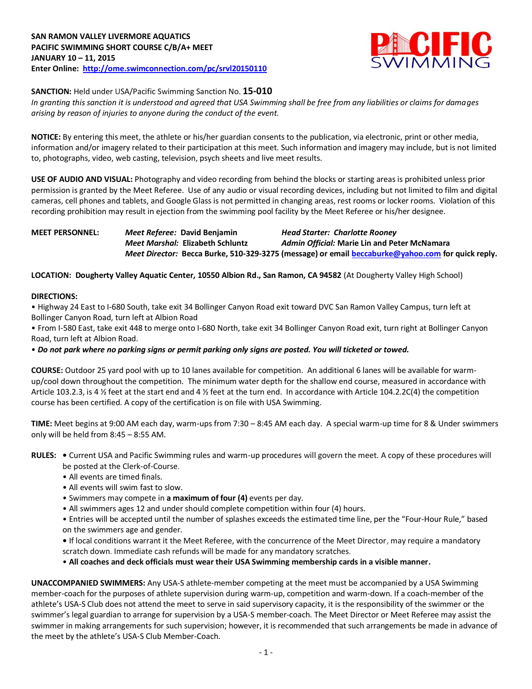

**SANCTION:** Held under USA/Pacific Swimming Sanction No. **15-010**

*In granting this sanction it is understood and agreed that USA Swimming shall be free from any liabilities or claims for damages arising by reason of injuries to anyone during the conduct of the event.*

**NOTICE:** By entering this meet, the athlete or his/her guardian consents to the publication, via electronic, print or other media, information and/or imagery related to their participation at this meet. Such information and imagery may include, but is not limited to, photographs, video, web casting, television, psych sheets and live meet results.

**USE OF AUDIO AND VISUAL:** Photography and video recording from behind the blocks or starting areas is prohibited unless prior permission is granted by the Meet Referee. Use of any audio or visual recording devices, including but not limited to film and digital cameras, cell phones and tablets, and Google Glass is not permitted in changing areas, rest rooms or locker rooms. Violation of this recording prohibition may result in ejection from the swimming pool facility by the Meet Referee or his/her designee.

**MEET PERSONNEL:** *Meet Referee:* **David Benjamin** *Head Starter: Charlotte Rooney Meet Marshal:* **Elizabeth Schluntz** *Admin Official:* **Marie Lin and Peter McNamara** *Meet Director:* **Becca Burke, 510-329-3275 (message) or emai[l beccaburke@yahoo.com](mailto:beccaburke@yahoo.com) for quick reply.**

**LOCATION: Dougherty Valley Aquatic Center, 10550 Albion Rd., San Ramon, CA 94582** (At Dougherty Valley High School)

## **DIRECTIONS:**

• Highway 24 East to I-680 South, take exit 34 Bollinger Canyon Road exit toward DVC San Ramon Valley Campus, turn left at Bollinger Canyon Road, turn left at Albion Road

• From I-580 East, take exit 448 to merge onto I-680 North, take exit 34 Bollinger Canyon Road exit, turn right at Bollinger Canyon Road, turn left at Albion Road.

• *Do not park where no parking signs or permit parking only signs are posted. You will ticketed or towed.* 

**COURSE:** Outdoor 25 yard pool with up to 10 lanes available for competition.An additional 6 lanes will be available for warmup/cool down throughout the competition. The minimum water depth for the shallow end course, measured in accordance with Article 103.2.3, is 4 ½ feet at the start end and 4 ½ feet at the turn end. In accordance with Article 104.2.2C(4) the competition course has been certified. A copy of the certification is on file with USA Swimming.

**TIME:** Meet begins at 9:00 AM each day, warm-ups from 7:30 – 8:45 AM each day. A special warm-up time for 8 & Under swimmers only will be held from 8:45 – 8:55 AM.

**RULES: •** Current USA and Pacific Swimming rules and warm-up procedures will govern the meet. A copy of these procedures will be posted at the Clerk-of-Course.

- All events are timed finals.
- All events will swim fast to slow.
- Swimmers may compete in **a maximum of four (4)** events per day.
- All swimmers ages 12 and under should complete competition within four (4) hours.

• Entries will be accepted until the number of splashes exceeds the estimated time line, per the "Four-Hour Rule," based on the swimmers age and gender.

**•** If local conditions warrant it the Meet Referee, with the concurrence of the Meet Director, may require a mandatory scratch down. Immediate cash refunds will be made for any mandatory scratches.

• **All coaches and deck officials must wear their USA Swimming membership cards in a visible manner.** 

**UNACCOMPANIED SWIMMERS:** Any USA-S athlete-member competing at the meet must be accompanied by a USA Swimming member-coach for the purposes of athlete supervision during warm-up, competition and warm-down. If a coach-member of the athlete's USA-S Club does not attend the meet to serve in said supervisory capacity, it is the responsibility of the swimmer or the swimmer's legal guardian to arrange for supervision by a USA-S member-coach. The Meet Director or Meet Referee may assist the swimmer in making arrangements for such supervision; however, it is recommended that such arrangements be made in advance of the meet by the athlete's USA-S Club Member-Coach.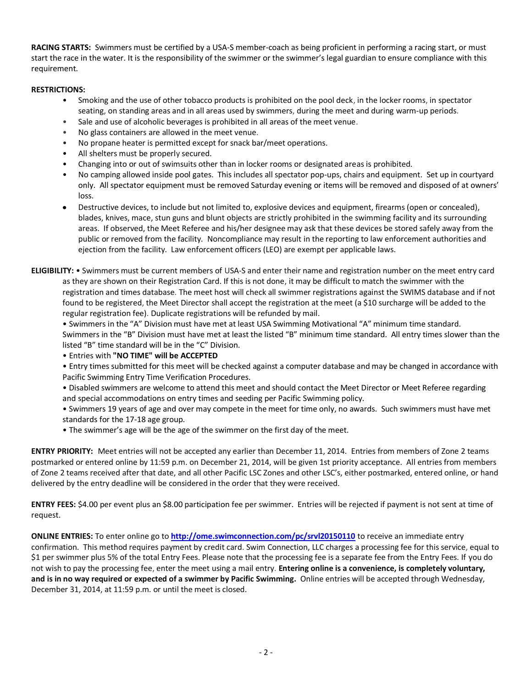**RACING STARTS:** Swimmers must be certified by a USA-S member-coach as being proficient in performing a racing start, or must start the race in the water. It is the responsibility of the swimmer or the swimmer's legal guardian to ensure compliance with this requirement.

## **RESTRICTIONS:**

- Smoking and the use of other tobacco products is prohibited on the pool deck, in the locker rooms, in spectator seating, on standing areas and in all areas used by swimmers, during the meet and during warm-up periods.
- Sale and use of alcoholic beverages is prohibited in all areas of the meet venue.
- No glass containers are allowed in the meet venue.
- No propane heater is permitted except for snack bar/meet operations.
- All shelters must be properly secured.
- Changing into or out of swimsuits other than in locker rooms or designated areas is prohibited.
- No camping allowed inside pool gates. This includes all spectator pop-ups, chairs and equipment. Set up in courtyard only. All spectator equipment must be removed Saturday evening or items will be removed and disposed of at owners' loss.
- Destructive devices, to include but not limited to, explosive devices and equipment, firearms (open or concealed), blades, knives, mace, stun guns and blunt objects are strictly prohibited in the swimming facility and its surrounding areas. If observed, the Meet Referee and his/her designee may ask that these devices be stored safely away from the public or removed from the facility. Noncompliance may result in the reporting to law enforcement authorities and ejection from the facility. Law enforcement officers (LEO) are exempt per applicable laws.
- **ELIGIBILITY:** Swimmers must be current members of USA-S and enter their name and registration number on the meet entry card as they are shown on their Registration Card. If this is not done, it may be difficult to match the swimmer with the registration and times database. The meet host will check all swimmer registrations against the SWIMS database and if not found to be registered, the Meet Director shall accept the registration at the meet (a \$10 surcharge will be added to the regular registration fee). Duplicate registrations will be refunded by mail.
	- Swimmers in the "A" Division must have met at least USA Swimming Motivational "A" minimum time standard. Swimmers in the "B" Division must have met at least the listed "B" minimum time standard. All entry times slower than the listed "B" time standard will be in the "C" Division.
	- Entries with **"NO TIME" will be ACCEPTED**
	- Entry times submitted for this meet will be checked against a computer database and may be changed in accordance with Pacific Swimming Entry Time Verification Procedures.
	- Disabled swimmers are welcome to attend this meet and should contact the Meet Director or Meet Referee regarding and special accommodations on entry times and seeding per Pacific Swimming policy.
	- Swimmers 19 years of age and over may compete in the meet for time only, no awards. Such swimmers must have met standards for the 17-18 age group.
	- The swimmer's age will be the age of the swimmer on the first day of the meet.

**ENTRY PRIORITY:** Meet entries will not be accepted any earlier than December 11, 2014. Entries from members of Zone 2 teams postmarked or entered online by 11:59 p.m. on December 21, 2014, will be given 1st priority acceptance. All entries from members of Zone 2 teams received after that date, and all other Pacific LSC Zones and other LSC's, either postmarked, entered online, or hand delivered by the entry deadline will be considered in the order that they were received.

**ENTRY FEES:** \$4.00 per event plus an \$8.00 participation fee per swimmer. Entries will be rejected if payment is not sent at time of request.

**ONLINE ENTRIES:** To enter online go to **<http://ome.swimconnection.com/pc/srvl20150110>** to receive an immediate entry confirmation. This method requires payment by credit card. Swim Connection, LLC charges a processing fee for this service, equal to \$1 per swimmer plus 5% of the total Entry Fees. Please note that the processing fee is a separate fee from the Entry Fees. If you do not wish to pay the processing fee, enter the meet using a mail entry. **Entering online is a convenience, is completely voluntary, and is in no way required or expected of a swimmer by Pacific Swimming.** Online entries will be accepted through Wednesday, December 31, 2014, at 11:59 p.m. or until the meet is closed.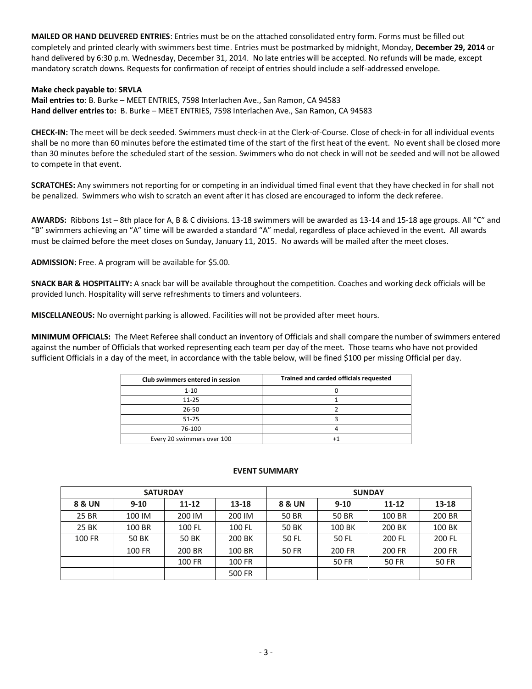**MAILED OR HAND DELIVERED ENTRIES**: Entries must be on the attached consolidated entry form. Forms must be filled out completely and printed clearly with swimmers best time. Entries must be postmarked by midnight, Monday, **December 29, 2014** or hand delivered by 6:30 p.m. Wednesday, December 31, 2014. No late entries will be accepted. No refunds will be made, except mandatory scratch downs. Requests for confirmation of receipt of entries should include a self-addressed envelope.

## **Make check payable to**: **SRVLA**

**Mail entries to**: B. Burke – MEET ENTRIES, 7598 Interlachen Ave., San Ramon, CA 94583 **Hand deliver entries to:** B. Burke – MEET ENTRIES, 7598 Interlachen Ave., San Ramon, CA 94583

**CHECK-IN:** The meet will be deck seeded. Swimmers must check-in at the Clerk-of-Course. Close of check-in for all individual events shall be no more than 60 minutes before the estimated time of the start of the first heat of the event. No event shall be closed more than 30 minutes before the scheduled start of the session. Swimmers who do not check in will not be seeded and will not be allowed to compete in that event.

**SCRATCHES:** Any swimmers not reporting for or competing in an individual timed final event that they have checked in for shall not be penalized. Swimmers who wish to scratch an event after it has closed are encouraged to inform the deck referee.

**AWARDS:** Ribbons 1st – 8th place for A, B & C divisions. 13-18 swimmers will be awarded as 13-14 and 15-18 age groups. All "C" and "B" swimmers achieving an "A" time will be awarded a standard "A" medal, regardless of place achieved in the event. All awards must be claimed before the meet closes on Sunday, January 11, 2015. No awards will be mailed after the meet closes.

**ADMISSION:** Free. A program will be available for \$5.00.

**SNACK BAR & HOSPITALITY:** A snack bar will be available throughout the competition. Coaches and working deck officials will be provided lunch. Hospitality will serve refreshments to timers and volunteers.

**MISCELLANEOUS:** No overnight parking is allowed. Facilities will not be provided after meet hours.

**MINIMUM OFFICIALS:** The Meet Referee shall conduct an inventory of Officials and shall compare the number of swimmers entered against the number of Officials that worked representing each team per day of the meet. Those teams who have not provided sufficient Officials in a day of the meet, in accordance with the table below, will be fined \$100 per missing Official per day.

| Club swimmers entered in session | Trained and carded officials requested |
|----------------------------------|----------------------------------------|
| $1 - 10$                         |                                        |
| $11 - 25$                        |                                        |
| 26-50                            |                                        |
| 51-75                            |                                        |
| 76-100                           |                                        |
| Every 20 swimmers over 100       |                                        |

## **EVENT SUMMARY**

|               | <b>SATURDAY</b> |              |        | <b>SUNDAY</b> |              |           |              |  |  |
|---------------|-----------------|--------------|--------|---------------|--------------|-----------|--------------|--|--|
| 8 & UN        | $9 - 10$        | $11 - 12$    | 13-18  | 8 & UN        | $9 - 10$     | $11 - 12$ | 13-18        |  |  |
| 25 BR         | 100 IM          | 200 IM       | 200 IM | 50 BR         | 50 BR        | 100 BR    | 200 BR       |  |  |
| 25 BK         | 100 BR          | 100 FL       | 100 FL | 50 BK         | 100 BK       | 200 BK    | 100 BK       |  |  |
| <b>100 FR</b> | 50 BK           | <b>50 BK</b> | 200 BK | 50 FL         | 50 FL        | 200 FL    | 200 FL       |  |  |
|               | 100 FR          | 200 BR       | 100 BR | <b>50 FR</b>  | 200 FR       | 200 FR    | 200 FR       |  |  |
|               |                 | 100 FR       | 100 FR |               | <b>50 FR</b> | 50 FR     | <b>50 FR</b> |  |  |
|               |                 |              | 500 FR |               |              |           |              |  |  |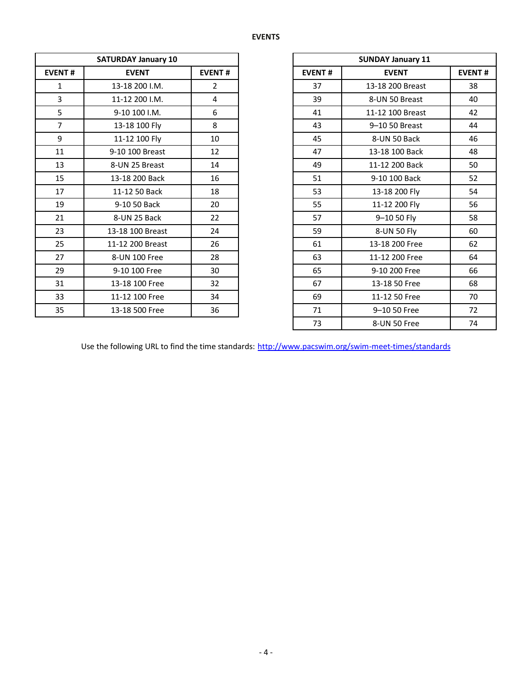|                               | <b>SATURDAY January 10</b> |                |               | <b>SUNDAY January 11</b> |
|-------------------------------|----------------------------|----------------|---------------|--------------------------|
| <b>EVENT#</b><br><b>EVENT</b> |                            | <b>EVENT#</b>  | <b>EVENT#</b> | <b>EVENT</b>             |
| $\mathbf{1}$                  | 13-18 200 I.M.             | $\overline{2}$ | 37            | 13-18 200 Breast         |
| $\overline{3}$                | 11-12 200 I.M.             | 4              | 39            | 8-UN 50 Breast           |
| 5                             | 9-10 100 I.M.              | 6              | 41            | 11-12 100 Breast         |
| $\overline{7}$                | 13-18 100 Fly              | 8              | 43            | 9-10 50 Breast           |
| 9                             | 11-12 100 Fly              | 10             | 45            | 8-UN 50 Back             |
| 11                            | 9-10 100 Breast            | 12             | 47            | 13-18 100 Back           |
| 13                            | 8-UN 25 Breast             | 14             | 49            | 11-12 200 Back           |
| 15                            | 13-18 200 Back             | 16             | 51            | 9-10 100 Back            |
| 17                            | 11-12 50 Back              | 18             | 53            | 13-18 200 Fly            |
| 19                            | 9-10 50 Back               | 20             | 55            | 11-12 200 Fly            |
| 21                            | 8-UN 25 Back               | 22             | 57            | 9-10 50 Fly              |
| 23                            | 13-18 100 Breast           | 24             | 59            | 8-UN 50 Fly              |
| 25                            | 11-12 200 Breast           | 26             | 61            | 13-18 200 Free           |
| 27                            | 8-UN 100 Free              | 28             | 63            | 11-12 200 Free           |
| 29                            | 9-10 100 Free              | 30             | 65            | 9-10 200 Free            |
| 31                            | 13-18 100 Free             | 32             | 67            | 13-18 50 Free            |
| 33                            | 11-12 100 Free             | 34             | 69            | 11-12 50 Free            |
| 35                            | 13-18 500 Free             | 36             | 71            | 9-10 50 Free             |

|                | <b>SATURDAY January 10</b> |                |  |
|----------------|----------------------------|----------------|--|
| <b>EVENT#</b>  | <b>EVENT</b>               | <b>EVENT#</b>  |  |
| 1              | 13-18 200 I.M.             | $\overline{2}$ |  |
| 3              | 11-12 200 I.M.             | 4              |  |
| 5              | 9-10 100 I.M.              | 6              |  |
| $\overline{7}$ | 13-18 100 Fly              | 8              |  |
| 9              | 11-12 100 Fly              | 10             |  |
| 11             | 9-10 100 Breast            | 12             |  |
| 13             | 8-UN 25 Breast             | 14             |  |
| 15             | 13-18 200 Back             | 16             |  |
| 17             | 11-12 50 Back              | 18             |  |
| 19             | 9-10 50 Back               | 20             |  |
| 21             | 8-UN 25 Back               | 22             |  |
| 23             | 13-18 100 Breast           | 24             |  |
| 25             | 11-12 200 Breast           | 26             |  |
| 27             | 8-UN 100 Free              | 28             |  |
| 29             | 9-10 100 Free              | 30             |  |
| 31             | 13-18 100 Free             | 32             |  |
| 33             | 11-12 100 Free             | 34             |  |
| 35             | 13-18 500 Free             | 36             |  |
|                |                            |                |  |

Use the following URL to find the time standards: <http://www.pacswim.org/swim-meet-times/standards>